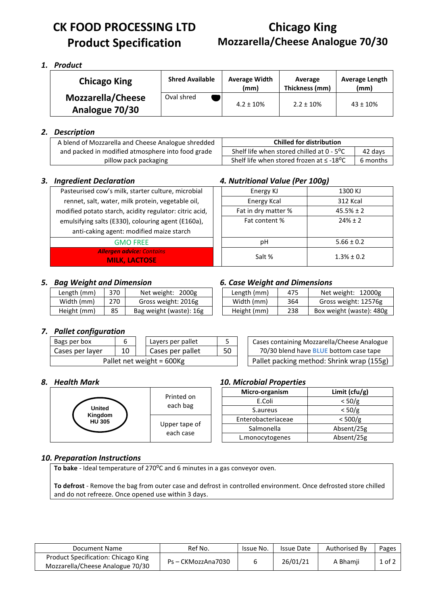# **CK FOOD PROCESSING LTD Product Specification**

# **Chicago King Mozzarella/Cheese Analogue 70/30**

### *1. Product*

| <b>Chicago King</b>                        | <b>Shred Available</b> | <b>Average Width</b><br>(mm) | Average<br>Thickness (mm) | <b>Average Length</b><br>(mm) |
|--------------------------------------------|------------------------|------------------------------|---------------------------|-------------------------------|
| <b>Mozzarella/Cheese</b><br>Analogue 70/30 | Oval shred             | $4.2 \pm 10\%$               | $2.2 \pm 10\%$            | $43 \pm 10\%$                 |

### *2. Description*

| A blend of Mozzarella and Cheese Analogue shredded | <b>Chilled for distribution</b>                            |          |  |  |
|----------------------------------------------------|------------------------------------------------------------|----------|--|--|
| and packed in modified atmosphere into food grade  | Shelf life when stored chilled at $0 - 5^{\circ}C$         | 42 days  |  |  |
| pillow pack packaging                              | Shelf life when stored frozen at $\leq$ -18 <sup>o</sup> C | 6 months |  |  |

#### *3. Ingredient Declaration 4. Nutritional Value (Per 100g)*

| Pasteurised cow's milk, starter culture, microbial       | Energy KJ           | 1300 KJ         |
|----------------------------------------------------------|---------------------|-----------------|
| rennet, salt, water, milk protein, vegetable oil,        | Energy Kcal         | <b>312 Kcal</b> |
| modified potato starch, acidity regulator: citric acid,  | Fat in dry matter % | $45.5% \pm 2$   |
| emulsifying salts (E330), colouring agent (E160a),       | Fat content %       | $74% + 7$       |
| anti-caking agent: modified maize starch                 |                     |                 |
| <b>GMO FREE</b>                                          | рH                  | $5.66 \pm 0.2$  |
| <b>Allergen advice: Contains</b><br><b>MILK, LACTOSE</b> | Salt %              | $1.3\% \pm 0.2$ |

#### *5. Bag Weight and Dimension 6. Case Weight and Dimensions*

| Length (mm) | 370 | Net weight: 2000g       |
|-------------|-----|-------------------------|
| Width (mm)  | 270 | Gross weight: 2016g     |
| Height (mm) | 85  | Bag weight (waste): 16g |

|  |  |  |  | <b>6. Case Weight and Dimensions</b> |
|--|--|--|--|--------------------------------------|
|--|--|--|--|--------------------------------------|

| Length (mm) | 370 | Net weight: 2000g       | Length (mm) | 475 | Net weight: 12000g       |
|-------------|-----|-------------------------|-------------|-----|--------------------------|
| Width (mm)  | 270 | Gross weight: 2016g     | Width (mm)  | 364 | Gross weight: 12576g     |
| Height (mm) | 85  | Bag weight (waste): 16g | Height (mm) | 238 | Box weight (waste): 480g |

## *7. Pallet configuration*

| Bags per box              | h  | Layers per pallet |                                           | Cases containing Mozzarella/Cheese Analogue   |
|---------------------------|----|-------------------|-------------------------------------------|-----------------------------------------------|
| Cases per layer           | 10 | Cases per pallet  | 50                                        | 70/30 blend have <b>BLUE</b> bottom case tape |
| Pallet net weight = 600Kg |    |                   | Pallet packing method: Shrink wrap (155g) |                                               |

| Cases containing Mozzarella/Cheese Analogue   |
|-----------------------------------------------|
| 70/30 blend have <b>BLUE</b> bottom case tape |
| Pallet packing method: Shrink wrap (155g)     |



#### *8. Health Mark 10. Microbial Properties*

| 20. u. UWIGI I I UWCI (ICJ |                   |
|----------------------------|-------------------|
| Micro-organism             | Limit ( $ctu/g$ ) |
| E.Coli                     | < 50/g            |
| S.aureus                   | < 50/g            |
| Enterobacteriaceae         | < 500/g           |
| Salmonella                 | Absent/25g        |
| L.monocytogenes            | Absent/25g        |

# *10. Preparation Instructions*

**To bake** - Ideal temperature of 270<sup>o</sup>C and 6 minutes in a gas conveyor oven.

**To defrost** - Remove the bag from outer case and defrost in controlled environment. Once defrosted store chilled and do not refreeze. Once opened use within 3 days.

| Document Name                                                           | Ref No.            | Issue No. | <b>Issue Date</b> | Authorised By | Pages      |
|-------------------------------------------------------------------------|--------------------|-----------|-------------------|---------------|------------|
| Product Specification: Chicago King<br>Mozzarella/Cheese Analogue 70/30 | Ps - CKMozzAna7030 |           | 26/01/21          | A Bhamii      | $1$ of $2$ |